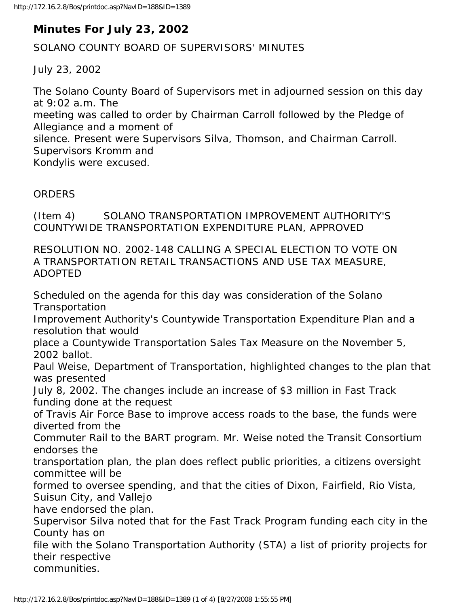## **Minutes For July 23, 2002**

SOLANO COUNTY BOARD OF SUPERVISORS' MINUTES

July 23, 2002

The Solano County Board of Supervisors met in adjourned session on this day at 9:02 a.m. The

meeting was called to order by Chairman Carroll followed by the Pledge of Allegiance and a moment of

silence. Present were Supervisors Silva, Thomson, and Chairman Carroll. Supervisors Kromm and

Kondylis were excused.

## ORDERS

(Item 4) SOLANO TRANSPORTATION IMPROVEMENT AUTHORITY'S COUNTYWIDE TRANSPORTATION EXPENDITURE PLAN, APPROVED

RESOLUTION NO. 2002-148 CALLING A SPECIAL ELECTION TO VOTE ON A TRANSPORTATION RETAIL TRANSACTIONS AND USE TAX MEASURE, ADOPTED

Scheduled on the agenda for this day was consideration of the Solano **Transportation** Improvement Authority's Countywide Transportation Expenditure Plan and a resolution that would place a Countywide Transportation Sales Tax Measure on the November 5, 2002 ballot. Paul Weise, Department of Transportation, highlighted changes to the plan that was presented July 8, 2002. The changes include an increase of \$3 million in Fast Track funding done at the request of Travis Air Force Base to improve access roads to the base, the funds were diverted from the Commuter Rail to the BART program. Mr. Weise noted the Transit Consortium endorses the transportation plan, the plan does reflect public priorities, a citizens oversight committee will be formed to oversee spending, and that the cities of Dixon, Fairfield, Rio Vista, Suisun City, and Vallejo have endorsed the plan. Supervisor Silva noted that for the Fast Track Program funding each city in the County has on file with the Solano Transportation Authority (STA) a list of priority projects for their respective communities.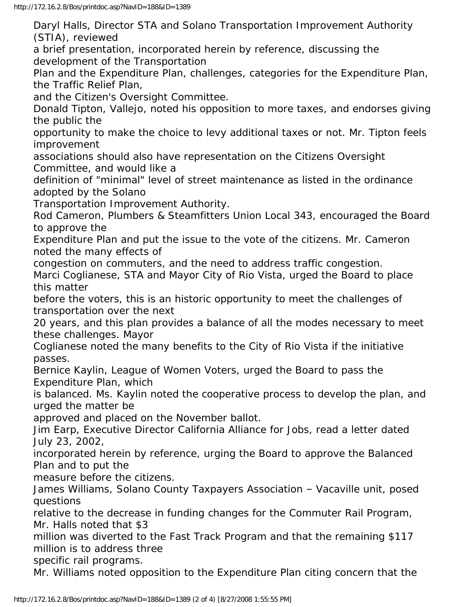Daryl Halls, Director STA and Solano Transportation Improvement Authority (STIA), reviewed

a brief presentation, incorporated herein by reference, discussing the development of the Transportation

Plan and the Expenditure Plan, challenges, categories for the Expenditure Plan, the Traffic Relief Plan,

and the Citizen's Oversight Committee.

Donald Tipton, Vallejo, noted his opposition to more taxes, and endorses giving the public the

opportunity to make the choice to levy additional taxes or not. Mr. Tipton feels improvement

associations should also have representation on the Citizens Oversight Committee, and would like a

definition of "minimal" level of street maintenance as listed in the ordinance adopted by the Solano

Transportation Improvement Authority.

Rod Cameron, Plumbers & Steamfitters Union Local 343, encouraged the Board to approve the

Expenditure Plan and put the issue to the vote of the citizens. Mr. Cameron noted the many effects of

congestion on commuters, and the need to address traffic congestion. Marci Coglianese, STA and Mayor City of Rio Vista, urged the Board to place this matter

before the voters, this is an historic opportunity to meet the challenges of transportation over the next

20 years, and this plan provides a balance of all the modes necessary to meet these challenges. Mayor

Coglianese noted the many benefits to the City of Rio Vista if the initiative passes.

Bernice Kaylin, League of Women Voters, urged the Board to pass the Expenditure Plan, which

is balanced. Ms. Kaylin noted the cooperative process to develop the plan, and urged the matter be

approved and placed on the November ballot.

Jim Earp, Executive Director California Alliance for Jobs, read a letter dated July 23, 2002,

incorporated herein by reference, urging the Board to approve the Balanced Plan and to put the

measure before the citizens.

James Williams, Solano County Taxpayers Association – Vacaville unit, posed questions

relative to the decrease in funding changes for the Commuter Rail Program, Mr. Halls noted that \$3

million was diverted to the Fast Track Program and that the remaining \$117 million is to address three

specific rail programs.

Mr. Williams noted opposition to the Expenditure Plan citing concern that the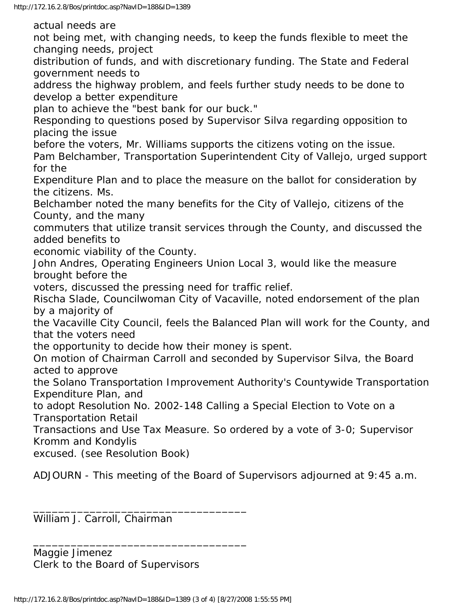actual needs are

not being met, with changing needs, to keep the funds flexible to meet the changing needs, project

distribution of funds, and with discretionary funding. The State and Federal government needs to

address the highway problem, and feels further study needs to be done to develop a better expenditure

plan to achieve the "best bank for our buck."

Responding to questions posed by Supervisor Silva regarding opposition to placing the issue

before the voters, Mr. Williams supports the citizens voting on the issue.

Pam Belchamber, Transportation Superintendent City of Vallejo, urged support for the

Expenditure Plan and to place the measure on the ballot for consideration by the citizens. Ms.

Belchamber noted the many benefits for the City of Vallejo, citizens of the County, and the many

commuters that utilize transit services through the County, and discussed the added benefits to

economic viability of the County.

John Andres, Operating Engineers Union Local 3, would like the measure brought before the

voters, discussed the pressing need for traffic relief.

Rischa Slade, Councilwoman City of Vacaville, noted endorsement of the plan by a majority of

the Vacaville City Council, feels the Balanced Plan will work for the County, and that the voters need

the opportunity to decide how their money is spent.

On motion of Chairman Carroll and seconded by Supervisor Silva, the Board acted to approve

the Solano Transportation Improvement Authority's Countywide Transportation Expenditure Plan, and

to adopt Resolution No. 2002-148 Calling a Special Election to Vote on a Transportation Retail

Transactions and Use Tax Measure. So ordered by a vote of 3-0; Supervisor Kromm and Kondylis

excused. (see Resolution Book)

ADJOURN - This meeting of the Board of Supervisors adjourned at 9:45 a.m.

William J. Carroll, Chairman

Maggie Jimenez Clerk to the Board of Supervisors

\_\_\_\_\_\_\_\_\_\_\_\_\_\_\_\_\_\_\_\_\_\_\_\_\_\_\_\_\_\_\_\_\_\_

\_\_\_\_\_\_\_\_\_\_\_\_\_\_\_\_\_\_\_\_\_\_\_\_\_\_\_\_\_\_\_\_\_\_